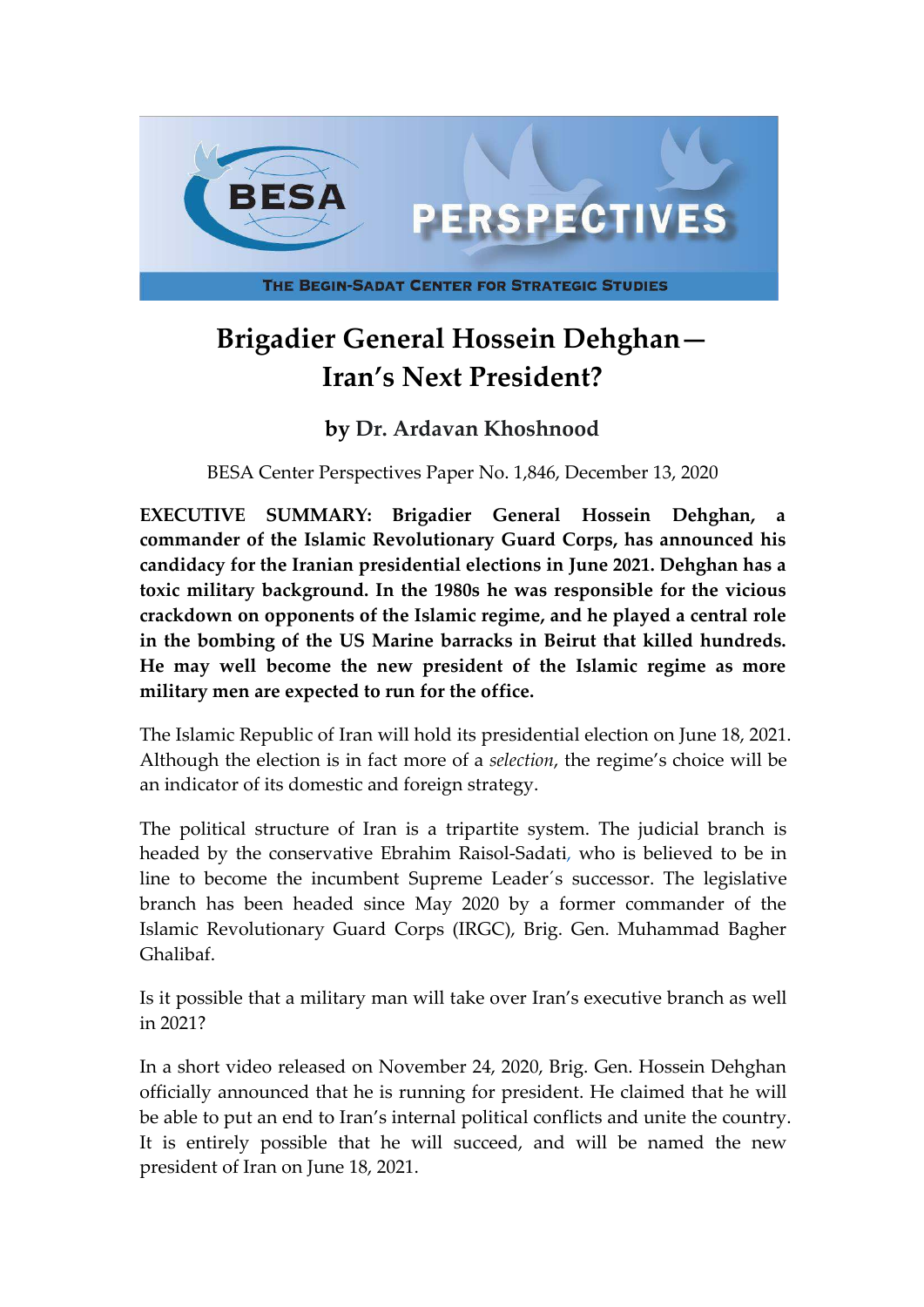

# **Brigadier General Hossein Dehghan— Iran's Next President?**

# **by Dr. Ardavan Khoshnood**

BESA Center Perspectives Paper No. 1,846, December 13, 2020

**EXECUTIVE SUMMARY: Brigadier General Hossein Dehghan, a commander of the Islamic Revolutionary Guard Corps, has announced his candidacy for the Iranian presidential elections in June 2021. Dehghan has a toxic military background. In the 1980s he was responsible for the vicious crackdown on opponents of the Islamic regime, and he played a central role in the bombing of the US Marine barracks in Beirut that killed hundreds. He may well become the new president of the Islamic regime as more military men are expected to run for the office.**

The Islamic Republic of Iran will hold its presidential election on June 18, 2021. Although the election is in fact more of a *selection*, the regime's choice will be an indicator of its domestic and foreign strategy.

The political structure of Iran is a tripartite system. The judicial branch is headed by the conservative Ebrahim Raisol-Sadati, who is believed to be in line to become the incumbent Supreme Leader´s successor. The legislative branch has been headed since May 2020 by a former commander of the Islamic Revolutionary Guard Corps (IRGC), Brig. Gen. Muhammad Bagher Ghalibaf.

Is it possible that a military man will take over Iran's executive branch as well in 2021?

In a short video released on November 24, 2020, Brig. Gen. Hossein Dehghan officially announced that he is running for president. He claimed that he will be able to put an end to Iran's internal political conflicts and unite the country. It is entirely possible that he will succeed, and will be named the new president of Iran on June 18, 2021.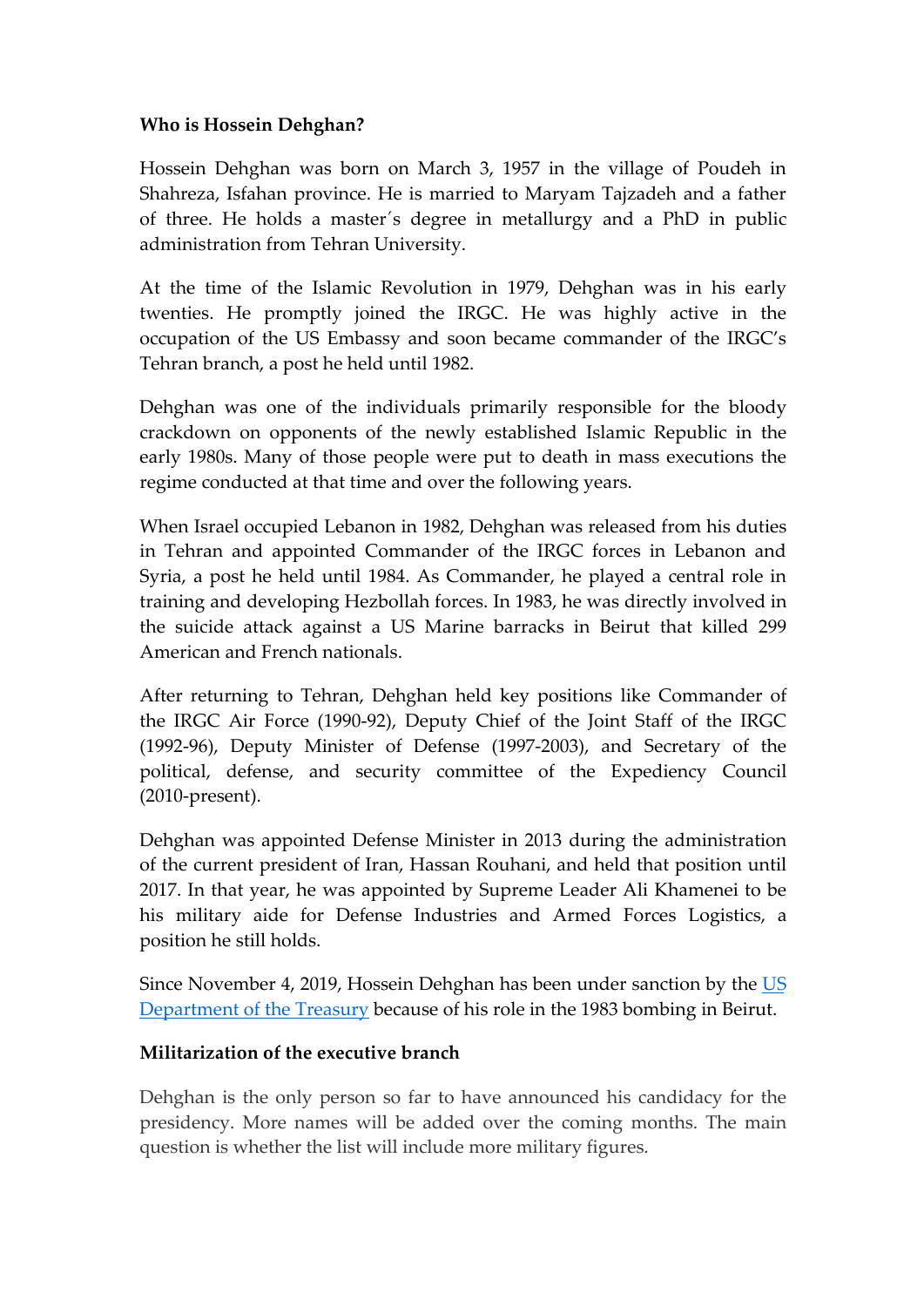#### **Who is Hossein Dehghan?**

Hossein Dehghan was born on March 3, 1957 in the village of Poudeh in Shahreza, Isfahan province. He is married to Maryam Tajzadeh and a father of three. He holds a master´s degree in metallurgy and a PhD in public administration from Tehran University.

At the time of the Islamic Revolution in 1979, Dehghan was in his early twenties. He promptly joined the IRGC. He was highly active in the occupation of the US Embassy and soon became commander of the IRGC's Tehran branch, a post he held until 1982.

Dehghan was one of the individuals primarily responsible for the bloody crackdown on opponents of the newly established Islamic Republic in the early 1980s. Many of those people were put to death in mass executions the regime conducted at that time and over the following years.

When Israel occupied Lebanon in 1982, Dehghan was released from his duties in Tehran and appointed Commander of the IRGC forces in Lebanon and Syria, a post he held until 1984. As Commander, he played a central role in training and developing Hezbollah forces. In 1983, he was directly involved in the suicide attack against a US Marine barracks in Beirut that killed 299 American and French nationals.

After returning to Tehran, Dehghan held key positions like Commander of the IRGC Air Force (1990-92), Deputy Chief of the Joint Staff of the IRGC (1992-96), Deputy Minister of Defense (1997-2003), and Secretary of the political, defense, and security committee of the Expediency Council (2010-present).

Dehghan was appointed Defense Minister in 2013 during the administration of the current president of Iran, Hassan Rouhani, and held that position until 2017. In that year, he was appointed by Supreme Leader Ali Khamenei to be his military aide for Defense Industries and Armed Forces Logistics, a position he still holds.

Since November 4, 2019, Hossein Dehghan has been under sanction by the [US](https://home.treasury.gov/news/press-releases/sm824) Department of the Treasury because of his role in the 1983 bombing in Beirut.

## **Militarization of the executive branch**

Dehghan is the only person so far to have announced his candidacy for the presidency. More names will be added over the coming months. The main question is whether the list will include more military figures.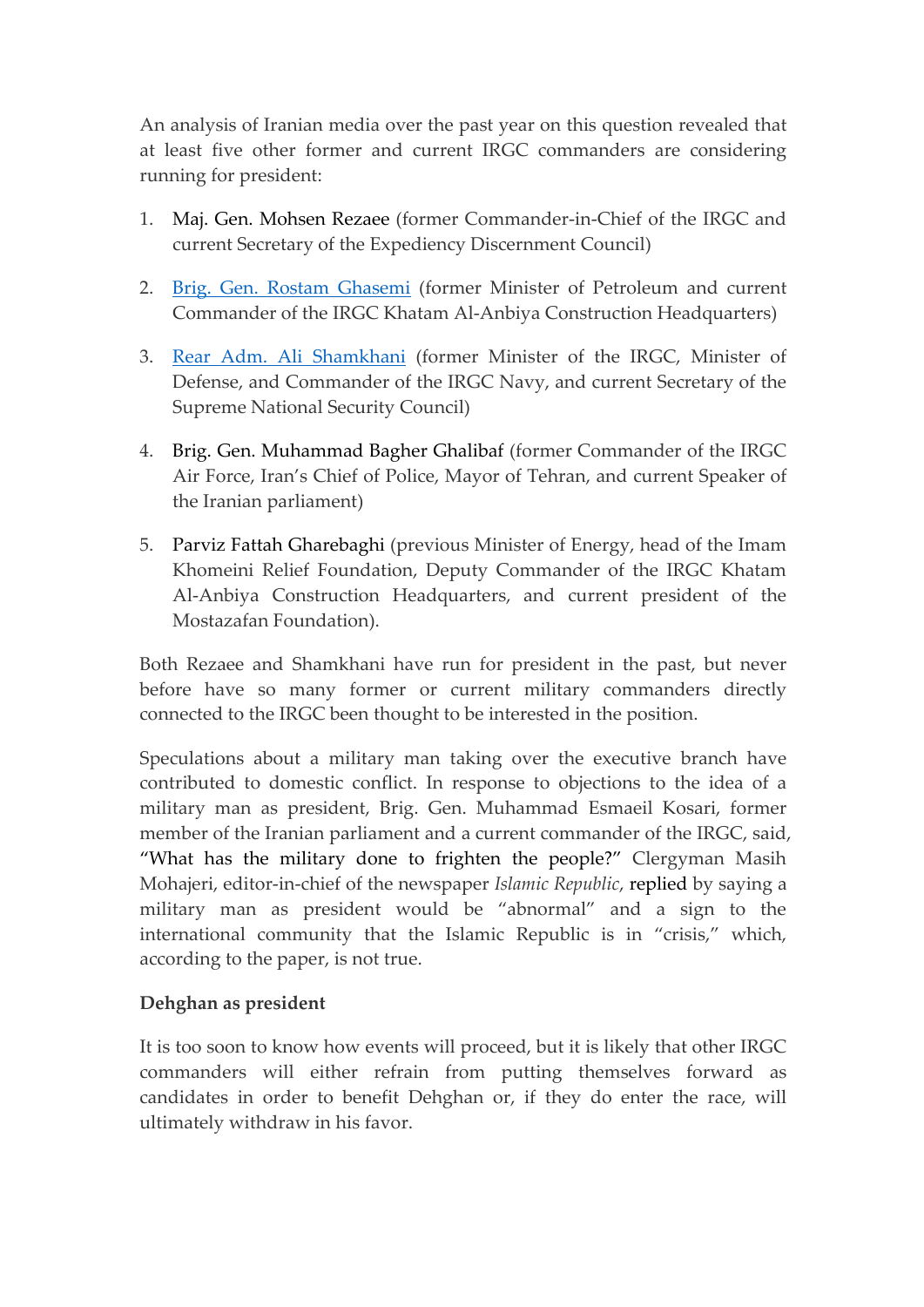An analysis of Iranian media over the past year on this question revealed that at least five other former and current IRGC commanders are considering running for president:

- 1. Maj. Gen. Mohsen Rezaee (former Commander-in-Chief of the IRGC and current Secretary of the Expediency Discernment Council)
- 2. [Brig. Gen. Rostam Ghasemi](https://english.alarabiya.net/en/features/2019/04/15/Rostam-Ghasemi-The-brigadier-general-of-sanctions-evasion) (former Minister of Petroleum and current Commander of the IRGC Khatam Al-Anbiya Construction Headquarters)
- 3. [Rear Adm. Ali Shamkhani](https://www.reuters.com/article/us-iran-security-idUSBRE9890OV20130910) (former Minister of the IRGC, Minister of Defense, and Commander of the IRGC Navy, and current Secretary of the Supreme National Security Council)
- 4. Brig. Gen. Muhammad Bagher Ghalibaf (former Commander of the IRGC Air Force, Iran's Chief of Police, Mayor of Tehran, and current Speaker of the Iranian parliament)
- 5. Parviz Fattah Gharebaghi (previous Minister of Energy, head of the Imam Khomeini Relief Foundation, Deputy Commander of the IRGC Khatam Al-Anbiya Construction Headquarters, and current president of the Mostazafan Foundation).

Both Rezaee and Shamkhani have run for president in the past, but never before have so many former or current military commanders directly connected to the IRGC been thought to be interested in the position.

Speculations about a military man taking over the executive branch have contributed to domestic conflict. In response to objections to the idea of a military man as president, Brig. Gen. Muhammad Esmaeil Kosari, former member of the Iranian parliament and a current commander of the IRGC, said, "What has the military done to frighten the people?" Clergyman Masih Mohajeri, editor-in-chief of the newspaper *Islamic Republic*, replied by saying a military man as president would be "abnormal" and a sign to the international community that the Islamic Republic is in "crisis," which, according to the paper, is not true.

## **Dehghan as president**

It is too soon to know how events will proceed, but it is likely that other IRGC commanders will either refrain from putting themselves forward as candidates in order to benefit Dehghan or, if they do enter the race, will ultimately withdraw in his favor.